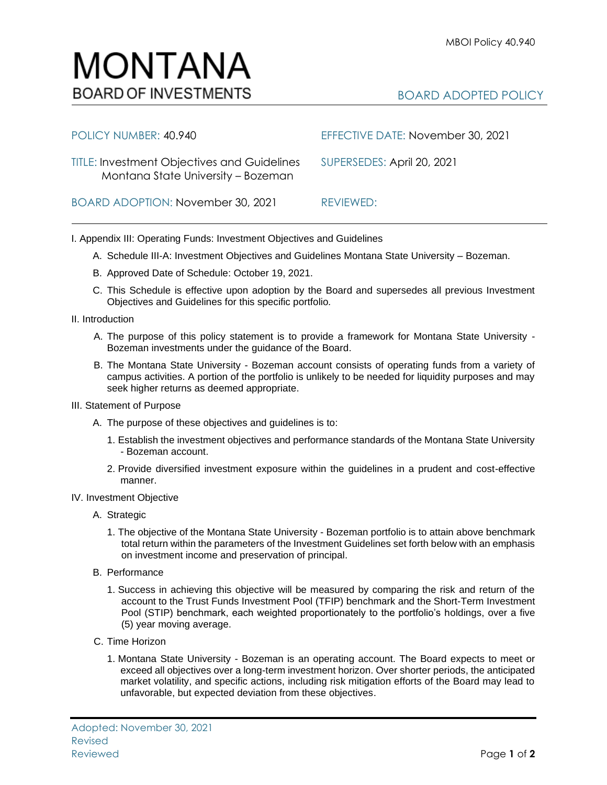

## BOARD ADOPTED POLICY

| POLICY NUMBER: 40.940                                                                    | EFFECTIVE DATE: November 30, 2021 |
|------------------------------------------------------------------------------------------|-----------------------------------|
| <b>TITLE: Investment Objectives and Guidelines</b><br>Montana State University - Bozeman | SUPERSEDES: April 20, 2021        |
| BOARD ADOPTION: November 30, 2021                                                        | REVIEWED:                         |

I. Appendix III: Operating Funds: Investment Objectives and Guidelines

- A. Schedule III-A: Investment Objectives and Guidelines Montana State University Bozeman.
- B. Approved Date of Schedule: October 19, 2021.
- C. This Schedule is effective upon adoption by the Board and supersedes all previous Investment Objectives and Guidelines for this specific portfolio*.*
- II. Introduction
	- A. The purpose of this policy statement is to provide a framework for Montana State University Bozeman investments under the guidance of the Board.
	- B. The Montana State University Bozeman account consists of operating funds from a variety of campus activities. A portion of the portfolio is unlikely to be needed for liquidity purposes and may seek higher returns as deemed appropriate.
- III. Statement of Purpose
	- A. The purpose of these objectives and guidelines is to:
		- 1. Establish the investment objectives and performance standards of the Montana State University - Bozeman account.
		- 2. Provide diversified investment exposure within the guidelines in a prudent and cost-effective manner.
- IV. Investment Objective
	- A. Strategic
		- 1. The objective of the Montana State University Bozeman portfolio is to attain above benchmark total return within the parameters of the Investment Guidelines set forth below with an emphasis on investment income and preservation of principal.
	- B. Performance
		- 1. Success in achieving this objective will be measured by comparing the risk and return of the account to the Trust Funds Investment Pool (TFIP) benchmark and the Short-Term Investment Pool (STIP) benchmark, each weighted proportionately to the portfolio's holdings, over a five (5) year moving average.
	- C. Time Horizon
		- 1. Montana State University Bozeman is an operating account. The Board expects to meet or exceed all objectives over a long-term investment horizon. Over shorter periods, the anticipated market volatility, and specific actions, including risk mitigation efforts of the Board may lead to unfavorable, but expected deviation from these objectives.